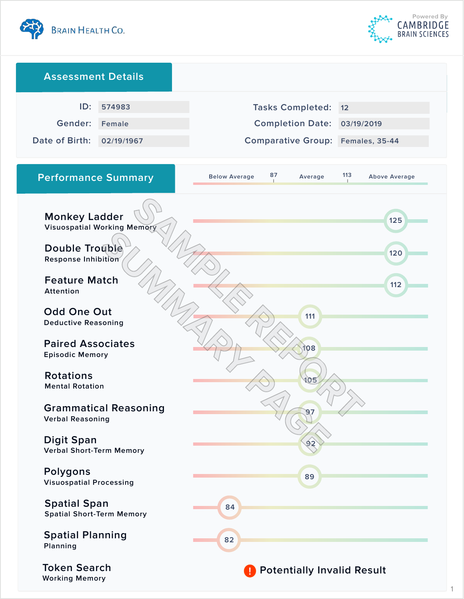



1

| <b>Assessment Details</b>                                            |                                    |                                          |                             |
|----------------------------------------------------------------------|------------------------------------|------------------------------------------|-----------------------------|
| ID:                                                                  | 574983                             | <b>Tasks Completed:</b>                  | 12                          |
| Gender:                                                              | <b>Female</b>                      | <b>Completion Date:</b>                  | 03/19/2019                  |
| Date of Birth:                                                       | 02/19/1967                         | <b>Comparative Group: Females, 35-44</b> |                             |
| <b>Performance Summary</b>                                           |                                    | 87<br><b>Below Average</b><br>Average    | 113<br><b>Above Average</b> |
| <b>Monkey Ladder</b><br><b>Double Trouble</b><br>Response Inhibition | <b>Visuospatial Working Memory</b> |                                          | 125<br>120                  |
| <b>Feature Match</b><br>Attention                                    |                                    |                                          | 112                         |
| <b>Odd One Out</b><br><b>Deductive Reasoning</b>                     |                                    | 111                                      |                             |
| <b>Paired Associates</b><br><b>Episodic Memory</b>                   |                                    | 108                                      |                             |
| <b>Rotations</b><br><b>Mental Rotation</b>                           |                                    | lO≢                                      |                             |
| <b>Grammatical Reasoning</b><br><b>Verbal Reasoning</b>              |                                    | 97                                       |                             |
| <b>Digit Span</b><br><b>Verbal Short-Term Memory</b>                 |                                    |                                          |                             |
| Polygons<br><b>Visuospatial Processing</b>                           |                                    | 89                                       |                             |
| <b>Spatial Span</b><br><b>Spatial Short-Term Memory</b>              |                                    | 84                                       |                             |
| <b>Spatial Planning</b><br>Planning                                  |                                    | 82                                       |                             |
| <b>Token Search</b><br><b>Working Memory</b>                         |                                    | <b>Potentially Invalid Result</b>        |                             |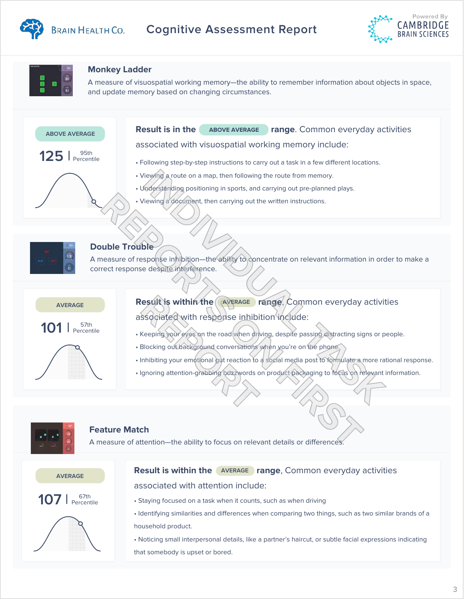

# **BRAIN HEALTH CO.** Cognitive Assessment Report





# **Monkey Ladder**

A measure of response in his measure of response in the ability to concentrate on relevant information in order to make a make a make a make a make a make a make a make a make a make a make a make a make a make a make a ma and update memory based on changing circumstances.<br>. A measure of visuospatial working memory—the ability to remember information about objects in space,





## **Double Trouble**

A measure of response inhibition—the ability to concentrate on relevant information in order to make a correct response despite interference.



**Result is within the AVERAGE range, Common everyday activities** associated with response inhibition include: **REPORT IS WITHIN THE CAVERAGE ISSOCIATED WITH THE POOP SET INTIONS SECTION OF THE REPORTS REPORT OF THE BLOCKING OUT ENDING DETERMINISTIONS ISSUES AND REPORT OF THE REPORT OF THE REPORT OF THE REPORT OF THE REPORT OF THE** 

- Keeping your eyes on the road when driving, despite passing distracting signs or people.
- Blocking out background conversations when you're on the phone.
- Inhibiting your emotional gut reaction to a social media post to formulate a more rational response.
- Ignoring attention-grabbing buzzwords on product packaging to focus on relevant information.



### **Feature Match**

A measure of attention—the ability to focus on relevant details or differences.



## **Result is within the AVERAGE range, Common everyday activities** associated with attention include:

- Staying focused on a task when it counts, such as when driving
- Identifying similarities and differences when comparing two things, such as two similar brands of a household product.
- Noticing small interpersonal details, like a partner's haircut, or subtle facial expressions indicating that somebody is upset or bored.